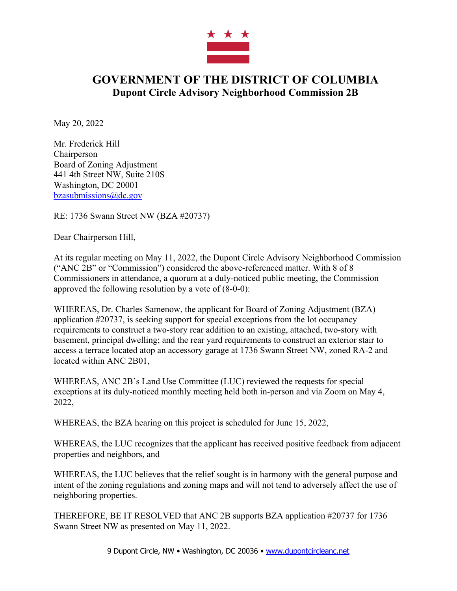

## **GOVERNMENT OF THE DISTRICT OF COLUMBIA Dupont Circle Advisory Neighborhood Commission 2B**

May 20, 2022

Mr. Frederick Hill **Chairperson** Board of Zoning Adjustment 441 4th Street NW, Suite 210S Washington, DC 20001 bzasubmissions@dc.gov

RE: 1736 Swann Street NW (BZA #20737)

Dear Chairperson Hill,

At its regular meeting on May 11, 2022, the Dupont Circle Advisory Neighborhood Commission ("ANC 2B" or "Commission") considered the above-referenced matter. With 8 of 8 Commissioners in attendance, a quorum at a duly-noticed public meeting, the Commission approved the following resolution by a vote of (8-0-0):

WHEREAS, Dr. Charles Samenow, the applicant for Board of Zoning Adjustment (BZA) application #20737, is seeking support for special exceptions from the lot occupancy requirements to construct a two-story rear addition to an existing, attached, two-story with basement, principal dwelling; and the rear yard requirements to construct an exterior stair to access a terrace located atop an accessory garage at 1736 Swann Street NW, zoned RA-2 and located within ANC 2B01,

WHEREAS, ANC 2B's Land Use Committee (LUC) reviewed the requests for special exceptions at its duly-noticed monthly meeting held both in-person and via Zoom on May 4, 2022,

WHEREAS, the BZA hearing on this project is scheduled for June 15, 2022,

WHEREAS, the LUC recognizes that the applicant has received positive feedback from adjacent properties and neighbors, and

WHEREAS, the LUC believes that the relief sought is in harmony with the general purpose and intent of the zoning regulations and zoning maps and will not tend to adversely affect the use of neighboring properties.

THEREFORE, BE IT RESOLVED that ANC 2B supports BZA application #20737 for 1736 Swann Street NW as presented on May 11, 2022.